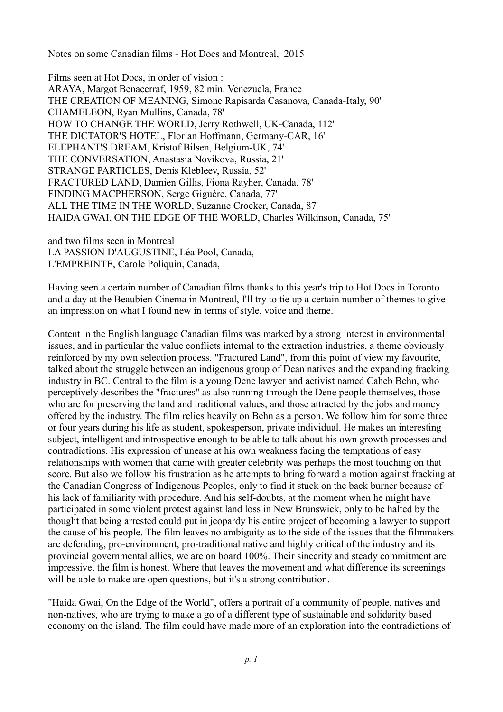Notes on some Canadian films - Hot Docs and Montreal, 2015

Films seen at Hot Docs, in order of vision : ARAYA, Margot Benacerraf, 1959, 82 min. Venezuela, France THE CREATION OF MEANING, Simone Rapisarda Casanova, Canada-Italy, 90' CHAMELEON, Ryan Mullins, Canada, 78' HOW TO CHANGE THE WORLD, Jerry Rothwell, UK-Canada, 112' THE DICTATOR'S HOTEL, Florian Hoffmann, Germany-CAR, 16' ELEPHANT'S DREAM, Kristof Bilsen, Belgium-UK, 74' THE CONVERSATION, Anastasia Novikova, Russia, 21' STRANGE PARTICLES, Denis Klebleev, Russia, 52' FRACTURED LAND, Damien Gillis, Fiona Rayher, Canada, 78' FINDING MACPHERSON, Serge Giguère, Canada, 77' ALL THE TIME IN THE WORLD, Suzanne Crocker, Canada, 87' HAIDA GWAI, ON THE EDGE OF THE WORLD, Charles Wilkinson, Canada, 75'

and two films seen in Montreal LA PASSION D'AUGUSTINE, Léa Pool, Canada, L'EMPREINTE, Carole Poliquin, Canada,

Having seen a certain number of Canadian films thanks to this year's trip to Hot Docs in Toronto and a day at the Beaubien Cinema in Montreal, I'll try to tie up a certain number of themes to give an impression on what I found new in terms of style, voice and theme.

Content in the English language Canadian films was marked by a strong interest in environmental issues, and in particular the value conflicts internal to the extraction industries, a theme obviously reinforced by my own selection process. "Fractured Land", from this point of view my favourite, talked about the struggle between an indigenous group of Dean natives and the expanding fracking industry in BC. Central to the film is a young Dene lawyer and activist named Caheb Behn, who perceptively describes the "fractures" as also running through the Dene people themselves, those who are for preserving the land and traditional values, and those attracted by the jobs and money offered by the industry. The film relies heavily on Behn as a person. We follow him for some three or four years during his life as student, spokesperson, private individual. He makes an interesting subject, intelligent and introspective enough to be able to talk about his own growth processes and contradictions. His expression of unease at his own weakness facing the temptations of easy relationships with women that came with greater celebrity was perhaps the most touching on that score. But also we follow his frustration as he attempts to bring forward a motion against fracking at the Canadian Congress of Indigenous Peoples, only to find it stuck on the back burner because of his lack of familiarity with procedure. And his self-doubts, at the moment when he might have participated in some violent protest against land loss in New Brunswick, only to be halted by the thought that being arrested could put in jeopardy his entire project of becoming a lawyer to support the cause of his people. The film leaves no ambiguity as to the side of the issues that the filmmakers are defending, pro-environment, pro-traditional native and highly critical of the industry and its provincial governmental allies, we are on board 100%. Their sincerity and steady commitment are impressive, the film is honest. Where that leaves the movement and what difference its screenings will be able to make are open questions, but it's a strong contribution.

"Haida Gwai, On the Edge of the World", offers a portrait of a community of people, natives and non-natives, who are trying to make a go of a different type of sustainable and solidarity based economy on the island. The film could have made more of an exploration into the contradictions of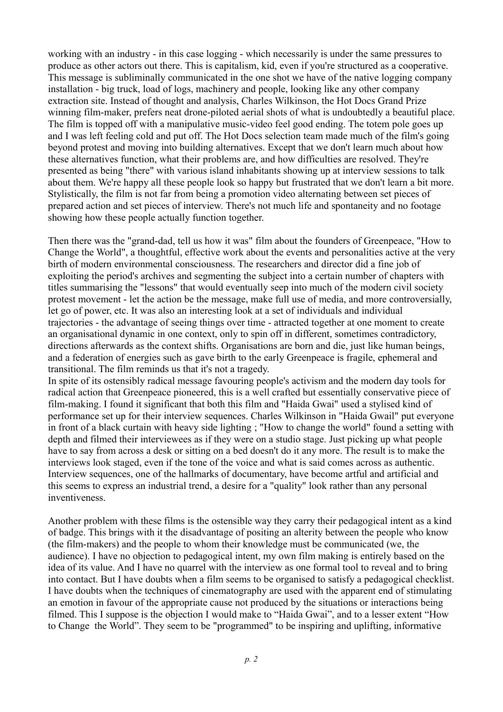working with an industry - in this case logging - which necessarily is under the same pressures to produce as other actors out there. This is capitalism, kid, even if you're structured as a cooperative. This message is subliminally communicated in the one shot we have of the native logging company installation - big truck, load of logs, machinery and people, looking like any other company extraction site. Instead of thought and analysis, Charles Wilkinson, the Hot Docs Grand Prize winning film-maker, prefers neat drone-piloted aerial shots of what is undoubtedly a beautiful place. The film is topped off with a manipulative music-video feel good ending. The totem pole goes up and I was left feeling cold and put off. The Hot Docs selection team made much of the film's going beyond protest and moving into building alternatives. Except that we don't learn much about how these alternatives function, what their problems are, and how difficulties are resolved. They're presented as being "there" with various island inhabitants showing up at interview sessions to talk about them. We're happy all these people look so happy but frustrated that we don't learn a bit more. Stylistically, the film is not far from being a promotion video alternating between set pieces of prepared action and set pieces of interview. There's not much life and spontaneity and no footage showing how these people actually function together.

Then there was the "grand-dad, tell us how it was" film about the founders of Greenpeace, "How to Change the World", a thoughtful, effective work about the events and personalities active at the very birth of modern environmental consciousness. The researchers and director did a fine job of exploiting the period's archives and segmenting the subject into a certain number of chapters with titles summarising the "lessons" that would eventually seep into much of the modern civil society protest movement - let the action be the message, make full use of media, and more controversially, let go of power, etc. It was also an interesting look at a set of individuals and individual trajectories - the advantage of seeing things over time - attracted together at one moment to create an organisational dynamic in one context, only to spin off in different, sometimes contradictory, directions afterwards as the context shifts. Organisations are born and die, just like human beings, and a federation of energies such as gave birth to the early Greenpeace is fragile, ephemeral and transitional. The film reminds us that it's not a tragedy.

In spite of its ostensibly radical message favouring people's activism and the modern day tools for radical action that Greenpeace pioneered, this is a well crafted but essentially conservative piece of film-making. I found it significant that both this film and "Haida Gwai" used a stylised kind of performance set up for their interview sequences. Charles Wilkinson in "Haida Gwail" put everyone in front of a black curtain with heavy side lighting ; "How to change the world" found a setting with depth and filmed their interviewees as if they were on a studio stage. Just picking up what people have to say from across a desk or sitting on a bed doesn't do it any more. The result is to make the interviews look staged, even if the tone of the voice and what is said comes across as authentic. Interview sequences, one of the hallmarks of documentary, have become artful and artificial and this seems to express an industrial trend, a desire for a "quality" look rather than any personal inventiveness.

Another problem with these films is the ostensible way they carry their pedagogical intent as a kind of badge. This brings with it the disadvantage of positing an alterity between the people who know (the film-makers) and the people to whom their knowledge must be communicated (we, the audience). I have no objection to pedagogical intent, my own film making is entirely based on the idea of its value. And I have no quarrel with the interview as one formal tool to reveal and to bring into contact. But I have doubts when a film seems to be organised to satisfy a pedagogical checklist. I have doubts when the techniques of cinematography are used with the apparent end of stimulating an emotion in favour of the appropriate cause not produced by the situations or interactions being filmed. This I suppose is the objection I would make to "Haida Gwai", and to a lesser extent "How to Change the World". They seem to be "programmed" to be inspiring and uplifting, informative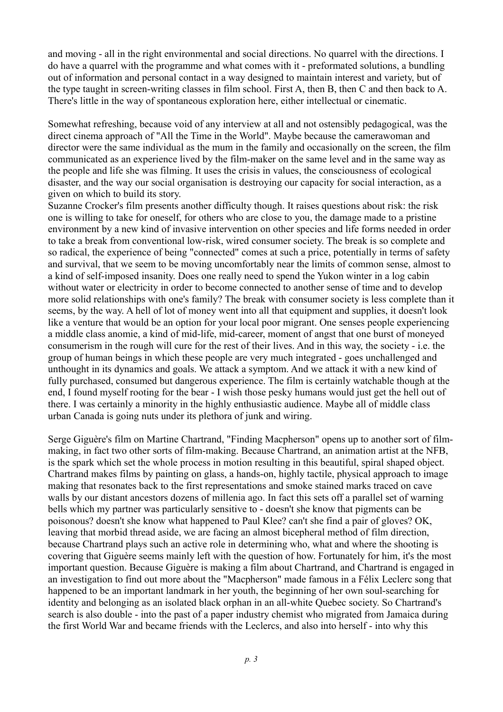and moving - all in the right environmental and social directions. No quarrel with the directions. I do have a quarrel with the programme and what comes with it - preformated solutions, a bundling out of information and personal contact in a way designed to maintain interest and variety, but of the type taught in screen-writing classes in film school. First A, then B, then C and then back to A. There's little in the way of spontaneous exploration here, either intellectual or cinematic.

Somewhat refreshing, because void of any interview at all and not ostensibly pedagogical, was the direct cinema approach of "All the Time in the World". Maybe because the camerawoman and director were the same individual as the mum in the family and occasionally on the screen, the film communicated as an experience lived by the film-maker on the same level and in the same way as the people and life she was filming. It uses the crisis in values, the consciousness of ecological disaster, and the way our social organisation is destroying our capacity for social interaction, as a given on which to build its story.

Suzanne Crocker's film presents another difficulty though. It raises questions about risk: the risk one is willing to take for oneself, for others who are close to you, the damage made to a pristine environment by a new kind of invasive intervention on other species and life forms needed in order to take a break from conventional low-risk, wired consumer society. The break is so complete and so radical, the experience of being "connected" comes at such a price, potentially in terms of safety and survival, that we seem to be moving uncomfortably near the limits of common sense, almost to a kind of self-imposed insanity. Does one really need to spend the Yukon winter in a log cabin without water or electricity in order to become connected to another sense of time and to develop more solid relationships with one's family? The break with consumer society is less complete than it seems, by the way. A hell of lot of money went into all that equipment and supplies, it doesn't look like a venture that would be an option for your local poor migrant. One senses people experiencing a middle class anomie, a kind of mid-life, mid-career, moment of angst that one burst of moneyed consumerism in the rough will cure for the rest of their lives. And in this way, the society - i.e. the group of human beings in which these people are very much integrated - goes unchallenged and unthought in its dynamics and goals. We attack a symptom. And we attack it with a new kind of fully purchased, consumed but dangerous experience. The film is certainly watchable though at the end, I found myself rooting for the bear - I wish those pesky humans would just get the hell out of there. I was certainly a minority in the highly enthusiastic audience. Maybe all of middle class urban Canada is going nuts under its plethora of junk and wiring.

Serge Giguère's film on Martine Chartrand, "Finding Macpherson" opens up to another sort of filmmaking, in fact two other sorts of film-making. Because Chartrand, an animation artist at the NFB, is the spark which set the whole process in motion resulting in this beautiful, spiral shaped object. Chartrand makes films by painting on glass, a hands-on, highly tactile, physical approach to image making that resonates back to the first representations and smoke stained marks traced on cave walls by our distant ancestors dozens of millenia ago. In fact this sets off a parallel set of warning bells which my partner was particularly sensitive to - doesn't she know that pigments can be poisonous? doesn't she know what happened to Paul Klee? can't she find a pair of gloves? OK, leaving that morbid thread aside, we are facing an almost bicepheral method of film direction, because Chartrand plays such an active role in determining who, what and where the shooting is covering that Giguère seems mainly left with the question of how. Fortunately for him, it's the most important question. Because Giguère is making a film about Chartrand, and Chartrand is engaged in an investigation to find out more about the "Macpherson" made famous in a Félix Leclerc song that happened to be an important landmark in her youth, the beginning of her own soul-searching for identity and belonging as an isolated black orphan in an all-white Quebec society. So Chartrand's search is also double - into the past of a paper industry chemist who migrated from Jamaica during the first World War and became friends with the Leclercs, and also into herself - into why this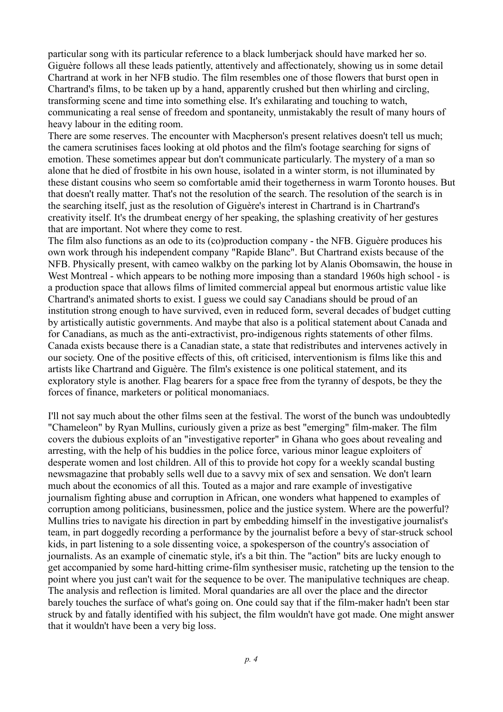particular song with its particular reference to a black lumberjack should have marked her so. Giguère follows all these leads patiently, attentively and affectionately, showing us in some detail Chartrand at work in her NFB studio. The film resembles one of those flowers that burst open in Chartrand's films, to be taken up by a hand, apparently crushed but then whirling and circling, transforming scene and time into something else. It's exhilarating and touching to watch, communicating a real sense of freedom and spontaneity, unmistakably the result of many hours of heavy labour in the editing room.

There are some reserves. The encounter with Macpherson's present relatives doesn't tell us much; the camera scrutinises faces looking at old photos and the film's footage searching for signs of emotion. These sometimes appear but don't communicate particularly. The mystery of a man so alone that he died of frostbite in his own house, isolated in a winter storm, is not illuminated by these distant cousins who seem so comfortable amid their togetherness in warm Toronto houses. But that doesn't really matter. That's not the resolution of the search. The resolution of the search is in the searching itself, just as the resolution of Giguère's interest in Chartrand is in Chartrand's creativity itself. It's the drumbeat energy of her speaking, the splashing creativity of her gestures that are important. Not where they come to rest.

The film also functions as an ode to its (co)production company - the NFB. Giguère produces his own work through his independent company "Rapide Blanc". But Chartrand exists because of the NFB. Physically present, with cameo walkby on the parking lot by Alanis Obomsawin, the house in West Montreal - which appears to be nothing more imposing than a standard 1960s high school - is a production space that allows films of limited commercial appeal but enormous artistic value like Chartrand's animated shorts to exist. I guess we could say Canadians should be proud of an institution strong enough to have survived, even in reduced form, several decades of budget cutting by artistically autistic governments. And maybe that also is a political statement about Canada and for Canadians, as much as the anti-extractivist, pro-indigenous rights statements of other films. Canada exists because there is a Canadian state, a state that redistributes and intervenes actively in our society. One of the positive effects of this, oft criticised, interventionism is films like this and artists like Chartrand and Giguère. The film's existence is one political statement, and its exploratory style is another. Flag bearers for a space free from the tyranny of despots, be they the forces of finance, marketers or political monomaniacs.

I'll not say much about the other films seen at the festival. The worst of the bunch was undoubtedly "Chameleon" by Ryan Mullins, curiously given a prize as best "emerging" film-maker. The film covers the dubious exploits of an "investigative reporter" in Ghana who goes about revealing and arresting, with the help of his buddies in the police force, various minor league exploiters of desperate women and lost children. All of this to provide hot copy for a weekly scandal busting newsmagazine that probably sells well due to a savvy mix of sex and sensation. We don't learn much about the economics of all this. Touted as a major and rare example of investigative journalism fighting abuse and corruption in African, one wonders what happened to examples of corruption among politicians, businessmen, police and the justice system. Where are the powerful? Mullins tries to navigate his direction in part by embedding himself in the investigative journalist's team, in part doggedly recording a performance by the journalist before a bevy of star-struck school kids, in part listening to a sole dissenting voice, a spokesperson of the country's association of journalists. As an example of cinematic style, it's a bit thin. The "action" bits are lucky enough to get accompanied by some hard-hitting crime-film synthesiser music, ratcheting up the tension to the point where you just can't wait for the sequence to be over. The manipulative techniques are cheap. The analysis and reflection is limited. Moral quandaries are all over the place and the director barely touches the surface of what's going on. One could say that if the film-maker hadn't been star struck by and fatally identified with his subject, the film wouldn't have got made. One might answer that it wouldn't have been a very big loss.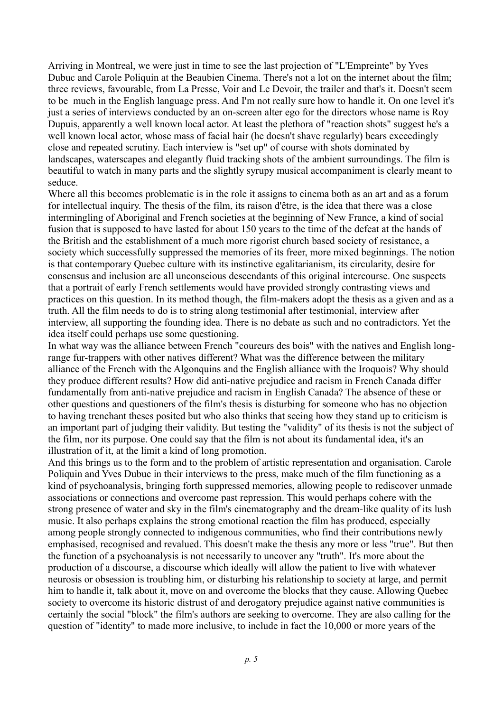Arriving in Montreal, we were just in time to see the last projection of "L'Empreinte" by Yves Dubuc and Carole Poliquin at the Beaubien Cinema. There's not a lot on the internet about the film; three reviews, favourable, from La Presse, Voir and Le Devoir, the trailer and that's it. Doesn't seem to be much in the English language press. And I'm not really sure how to handle it. On one level it's just a series of interviews conducted by an on-screen alter ego for the directors whose name is Roy Dupuis, apparently a well known local actor. At least the plethora of "reaction shots" suggest he's a well known local actor, whose mass of facial hair (he doesn't shave regularly) bears exceedingly close and repeated scrutiny. Each interview is "set up" of course with shots dominated by landscapes, waterscapes and elegantly fluid tracking shots of the ambient surroundings. The film is beautiful to watch in many parts and the slightly syrupy musical accompaniment is clearly meant to seduce.

Where all this becomes problematic is in the role it assigns to cinema both as an art and as a forum for intellectual inquiry. The thesis of the film, its raison d'être, is the idea that there was a close intermingling of Aboriginal and French societies at the beginning of New France, a kind of social fusion that is supposed to have lasted for about 150 years to the time of the defeat at the hands of the British and the establishment of a much more rigorist church based society of resistance, a society which successfully suppressed the memories of its freer, more mixed beginnings. The notion is that contemporary Quebec culture with its instinctive egalitarianism, its circularity, desire for consensus and inclusion are all unconscious descendants of this original intercourse. One suspects that a portrait of early French settlements would have provided strongly contrasting views and practices on this question. In its method though, the film-makers adopt the thesis as a given and as a truth. All the film needs to do is to string along testimonial after testimonial, interview after interview, all supporting the founding idea. There is no debate as such and no contradictors. Yet the idea itself could perhaps use some questioning.

In what way was the alliance between French "coureurs des bois" with the natives and English longrange fur-trappers with other natives different? What was the difference between the military alliance of the French with the Algonquins and the English alliance with the Iroquois? Why should they produce different results? How did anti-native prejudice and racism in French Canada differ fundamentally from anti-native prejudice and racism in English Canada? The absence of these or other questions and questioners of the film's thesis is disturbing for someone who has no objection to having trenchant theses posited but who also thinks that seeing how they stand up to criticism is an important part of judging their validity. But testing the "validity" of its thesis is not the subject of the film, nor its purpose. One could say that the film is not about its fundamental idea, it's an illustration of it, at the limit a kind of long promotion.

And this brings us to the form and to the problem of artistic representation and organisation. Carole Poliquin and Yves Dubuc in their interviews to the press, make much of the film functioning as a kind of psychoanalysis, bringing forth suppressed memories, allowing people to rediscover unmade associations or connections and overcome past repression. This would perhaps cohere with the strong presence of water and sky in the film's cinematography and the dream-like quality of its lush music. It also perhaps explains the strong emotional reaction the film has produced, especially among people strongly connected to indigenous communities, who find their contributions newly emphasised, recognised and revalued. This doesn't make the thesis any more or less "true". But then the function of a psychoanalysis is not necessarily to uncover any "truth". It's more about the production of a discourse, a discourse which ideally will allow the patient to live with whatever neurosis or obsession is troubling him, or disturbing his relationship to society at large, and permit him to handle it, talk about it, move on and overcome the blocks that they cause. Allowing Quebec society to overcome its historic distrust of and derogatory prejudice against native communities is certainly the social "block" the film's authors are seeking to overcome. They are also calling for the question of "identity" to made more inclusive, to include in fact the 10,000 or more years of the